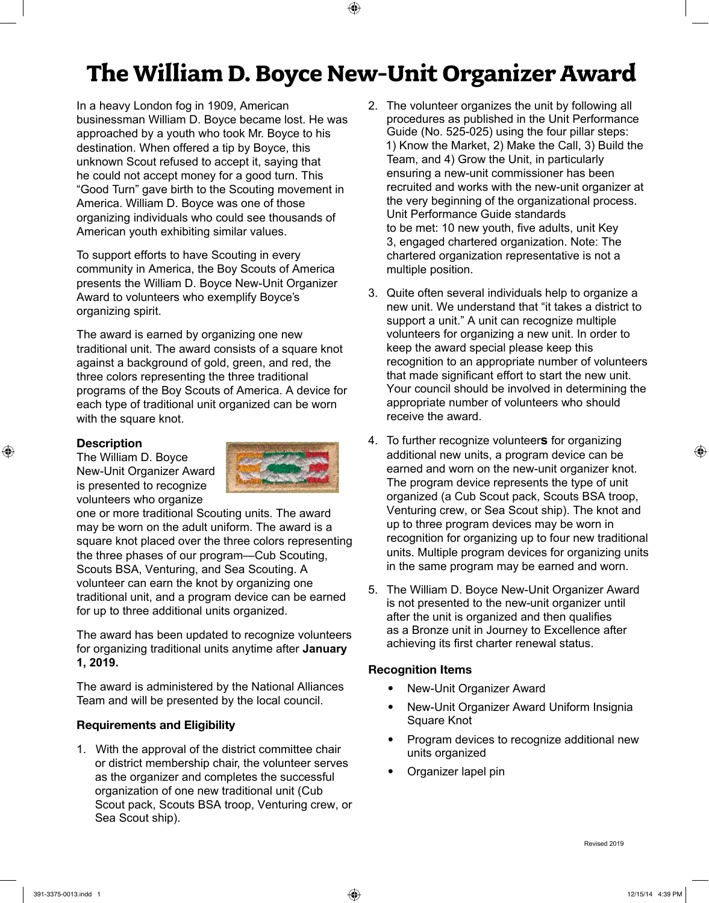## **The William D. Boyce New-Unit Organizer Award**

In a heavy London fog in 1909, American businessman William D. Boyce became lost. He was approached by a youth who took Mr. Boyce to his destination. When offered a tip by Boyce, this unknown Scout refused to accept it, saying that he could not accept money for a good turn. This "Good Turn" gave birth to the Scouting movement in America. William D. Boyce was one of those organizing individuals who could see thousands of American youth exhibiting similar values.

To support efforts to have Scouting in every community in America, the Boy Scouts of America presents the William D. Boyce New-Unit Organizer Award to volunteers who exemplify Boyce's organizing spirit.

The award is earned by organizing one new traditional unit. The award consists of a square knot against a background of gold, green, and red, the three colors representing the three traditional programs of the Boy Scouts of America. A device for each type of traditional unit organized can be worn with the square knot.

#### **Description**

The William D. Boyce New-Unit Organizer Award is presented to recognize volunteers who organize



one or more traditional Scouting units. The award may be worn on the adult uniform. The award is a square knot placed over the three colors representing the three phases of our program—Cub Scouting, Scouts BSA, Venturing, and Sea Scouting. A volunteer can earn the knot by organizing one traditional unit, and a program device can be earned for up to three additional units organized.

The award has been updated to recognize volunteers for organizing traditional units anytime after **January 1, 2019.**

The award is administered by the National Alliances Team and will be presented by the local council.

#### **Requirements and Eligibility**

1. With the approval of the district committee chair or district membership chair, the volunteer serves as the organizer and completes the successful organization of one new traditional unit (Cub Scout pack, Scouts BSA troop, Venturing crew, or Sea Scout ship).

- 2. The volunteer organizes the unit by following all procedures as published in the Unit Performance Guide (No. 525-025) using the four pillar steps: 1) Know the Market, 2) Make the Call, 3) Build the Team, and 4) Grow the Unit, in particularly ensuring a new-unit commissioner has been recruited and works with the new-unit organizer at the very beginning of the organizational process. Unit Performance Guide standards to be met: 10 new youth, five adults, unit Key 3, engaged chartered organization. Note: The chartered organization representative is not a multiple position.
- 3. Quite often several individuals help to organize a new unit. We understand that "it takes a district to support a unit." A unit can recognize multiple volunteers for organizing a new unit. In order to keep the award special please keep this recognition to an appropriate number of volunteers that made significant effort to start the new unit. Your council should be involved in determining the appropriate number of volunteers who should receive the award.
- 4. To further recognize volunteer**s** for organizing additional new units, a program device can be earned and worn on the new-unit organizer knot. The program device represents the type of unit organized (a Cub Scout pack, Scouts BSA troop, Venturing crew, or Sea Scout ship). The knot and up to three program devices may be worn in recognition for organizing up to four new traditional units. Multiple program devices for organizing units in the same program may be earned and worn.
- 5. The William D. Boyce New-Unit Organizer Award is not presented to the new-unit organizer until after the unit is organized and then qualifies as a Bronze unit in Journey to Excellence after achieving its first charter renewal status.

#### **Recognition Items**

- New-Unit Organizer Award
- New-Unit Organizer Award Uniform Insignia Square Knot
- Program devices to recognize additional new units organized
- Organizer lapel pin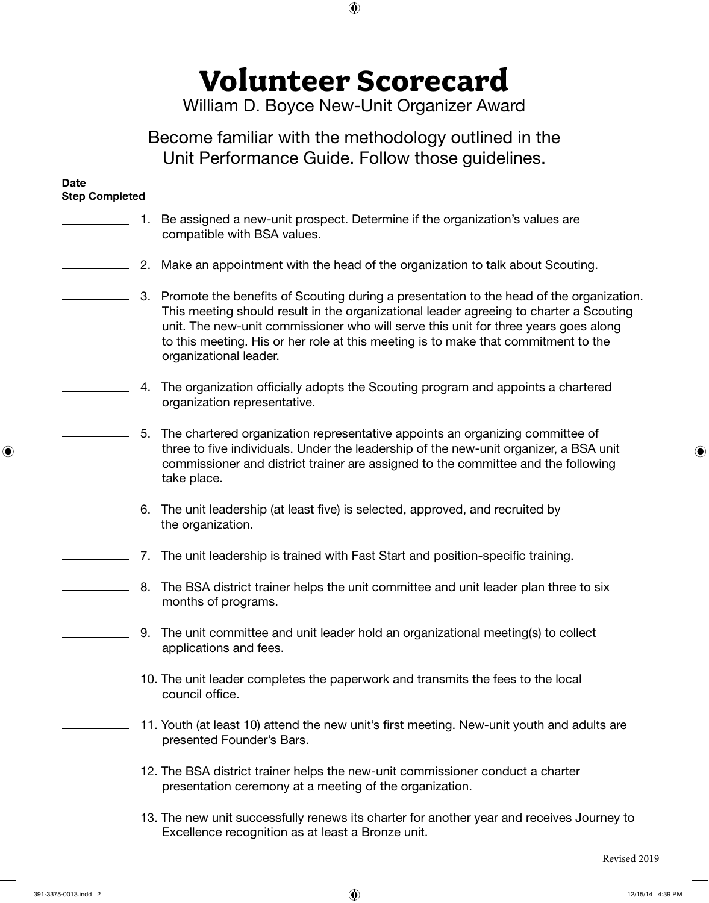**Volunteer Scorecard**

William D. Boyce New-Unit Organizer Award

### Become familiar with the methodology outlined in the Unit Performance Guide. Follow those guidelines.

#### **Date Step Completed**

- 1. Be assigned a new-unit prospect. Determine if the organization's values are compatible with BSA values. 2. Make an appointment with the head of the organization to talk about Scouting. 3. Promote the benefits of Scouting during a presentation to the head of the organization. This meeting should result in the organizational leader agreeing to charter a Scouting unit. The new-unit commissioner who will serve this unit for three years goes along to this meeting. His or her role at this meeting is to make that commitment to the organizational leader. 4. The organization officially adopts the Scouting program and appoints a chartered organization representative. 5. The chartered organization representative appoints an organizing committee of three to five individuals. Under the leadership of the new-unit organizer, a BSA unit commissioner and district trainer are assigned to the committee and the following take place. 6. The unit leadership (at least five) is selected, approved, and recruited by the organization. 7. The unit leadership is trained with Fast Start and position-specific training. 8. The BSA district trainer helps the unit committee and unit leader plan three to six months of programs. 9. The unit committee and unit leader hold an organizational meeting(s) to collect
	- 10. The unit leader completes the paperwork and transmits the fees to the local council office.

applications and fees.

- 11. Youth (at least 10) attend the new unit's first meeting. New-unit youth and adults are presented Founder's Bars.
- 12. The BSA district trainer helps the new-unit commissioner conduct a charter presentation ceremony at a meeting of the organization.
- 13. The new unit successfully renews its charter for another year and receives Journey to Excellence recognition as at least a Bronze unit.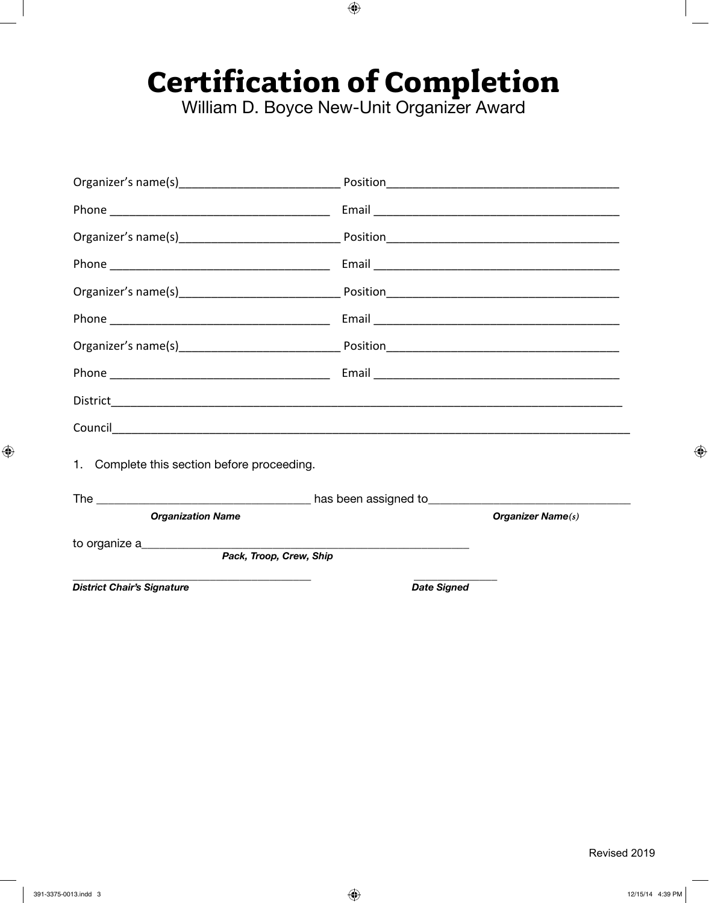# **Certification of Completion**<br>William D. Boyce New-Unit Organizer Award

| 1. Complete this section before proceeding. |                    |                      |
|---------------------------------------------|--------------------|----------------------|
|                                             |                    |                      |
| <b>Organization Name</b>                    |                    | Organizer Name $(s)$ |
| to organize a                               |                    |                      |
| Pack, Troop, Crew, Ship                     |                    |                      |
| <b>District Chair's Signature</b>           | <b>Date Signed</b> |                      |